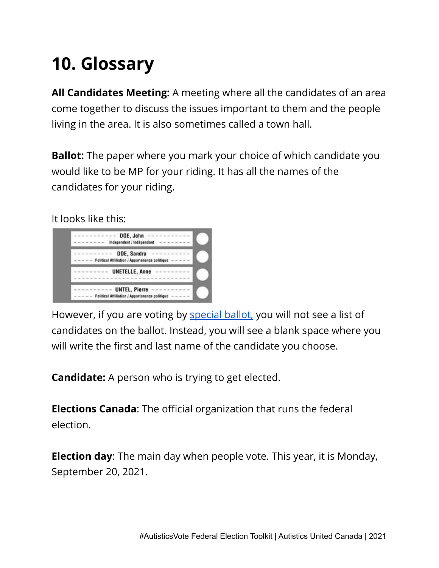## **10. Glossary**

**All Candidates Meeting:** A meeting where all the candidates of an area come together to discuss the issues important to them and the people living in the area. It is also sometimes called a town hall.

**Ballot:** The paper where you mark your choice of which candidate you would like to be MP for your riding. It has all the names of the candidates for your riding.

It looks like this:



However, if you are voting by [special](https://www.elections.ca/content2.aspx?section=vote&dir=spe&document=index&lang=e) ballot, you will not see a list of candidates on the ballot. Instead, you will see a blank space where you will write the first and last name of the candidate you choose.

**Candidate:** A person who is trying to get elected.

**Elections Canada**: The official organization that runs the federal election.

**Election day**: The main day when people vote. This year, it is Monday, September 20, 2021.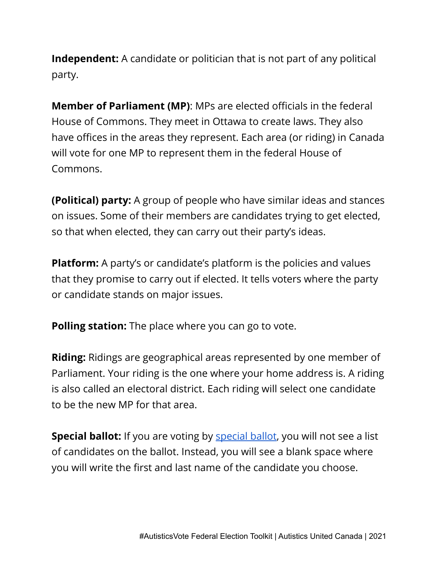**Independent:** A candidate or politician that is not part of any political party.

**Member of Parliament (MP)**: MPs are elected officials in the federal House of Commons. They meet in Ottawa to create laws. They also have offices in the areas they represent. Each area (or riding) in Canada will vote for one MP to represent them in the federal House of Commons.

**(Political) party:** A group of people who have similar ideas and stances on issues. Some of their members are candidates trying to get elected, so that when elected, they can carry out their party's ideas.

**Platform:** A party's or candidate's platform is the policies and values that they promise to carry out if elected. It tells voters where the party or candidate stands on major issues.

**Polling station:** The place where you can go to vote.

**Riding:** Ridings are geographical areas represented by one member of Parliament. Your riding is the one where your home address is. A riding is also called an electoral district. Each riding will select one candidate to be the new MP for that area.

**Special ballot:** If you are voting by [special](https://www.elections.ca/content2.aspx?section=vote&dir=spe&document=index&lang=e) ballot, you will not see a list of candidates on the ballot. Instead, you will see a blank space where you will write the first and last name of the candidate you choose.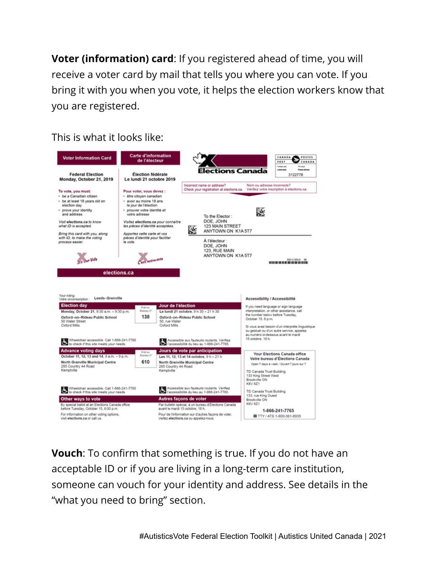**Voter (information) card**: If you registered ahead of time, you will receive a voter card by mail that tells you where you can vote. If you bring it with you when you vote, it helps the election workers know that you are registered.

This is what it looks like:



**Vouch**: To confirm that something is true. If you do not have an acceptable ID or if you are living in a long-term care institution, someone can vouch for your identity and address. See details in the "what you need to bring" section.